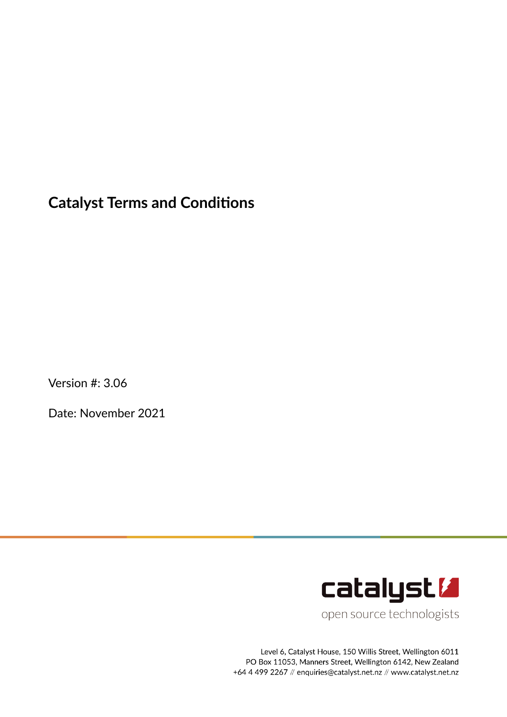# **Catalyst Terms and Conditions**

Version #: 3.06

Date: November 2021



open source technologists

Level 6, Catalyst House, 150 Willis Street, Wellington 6011 PO Box 11053, Manners Street, Wellington 6142, New Zealand +64 4 499 2267 // enquiries@catalyst.net.nz // www.catalyst.net.nz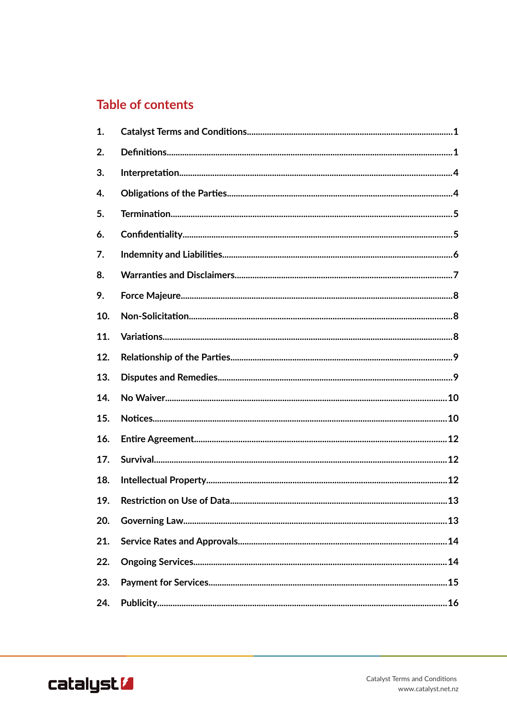# **Table of contents**

| 1.  |  |
|-----|--|
| 2.  |  |
| 3.  |  |
| 4.  |  |
| 5.  |  |
| 6.  |  |
| 7.  |  |
| 8.  |  |
| 9.  |  |
| 10. |  |
| 11. |  |
| 12. |  |
| 13. |  |
| 14. |  |
| 15. |  |
| 16. |  |
| 17. |  |
| 18. |  |
| 19. |  |
| 20. |  |
| 21. |  |
| 22. |  |
| 23. |  |
| 24. |  |

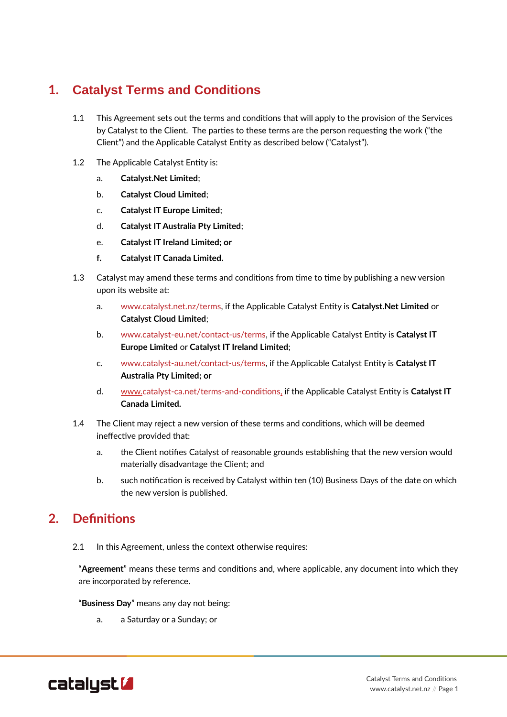# **1. Catalyst Terms and Conditions**

- 1.1 This Agreement sets out the terms and conditions that will apply to the provision of the Services by Catalyst to the Client. The parties to these terms are the person requesting the work ("the Client") and the Applicable Catalyst Entity as described below ("Catalyst").
- 1.2 The Applicable Catalyst Entity is:
	- a. **Catalyst.Net Limited**;
	- b. **Catalyst Cloud Limited**;
	- c. **Catalyst IT Europe Limited**;
	- d. **Catalyst IT Australia Pty Limited**;
	- e. **Catalyst IT Ireland Limited; or**
	- **f. Catalyst IT Canada Limited.**
- 1.3 Catalyst may amend these terms and conditions from time to time by publishing a new version upon its website at:
	- a. [www.catalyst.net.nz/terms,](http://www.catalyst.net.nz/terms) if the Applicable Catalyst Entity is **Catalyst.Net Limited** or **Catalyst Cloud Limited**;
	- b. [www.catalyst-eu.net/contact-us/terms](http://www.catalyst-eu.net/contact-us/terms), if the Applicable Catalyst Entity is **Catalyst IT Europe Limited** or **Catalyst IT Ireland Limited**;
	- c. [www.catalyst-au.net/contact-us/terms,](http://www.catalyst-au.net/contact-us/terms) if the Applicable Catalyst Entity is **Catalyst IT Australia Pty Limited; or**
	- d. [www.catalyst-ca.net/terms-and-conditions](http://www.catalyst-ca.net/terms-and-conditions), if the Applicable Catalyst Entity is **Catalyst IT Canada Limited.**
- 1.4 The Client may reject a new version of these terms and conditions, which will be deemed ineffective provided that:
	- a. the Client notifies Catalyst of reasonable grounds establishing that the new version would materially disadvantage the Client; and
	- b. such notification is received by Catalyst within ten (10) Business Days of the date on which the new version is published.

# <span id="page-2-0"></span>**2. Definitions**

2.1 In this Agreement, unless the context otherwise requires:

"**Agreement**" means these terms and conditions and, where applicable, any document into which they are incorporated by reference.

"**Business Day**" means any day not being:

a. a Saturday or a Sunday; or

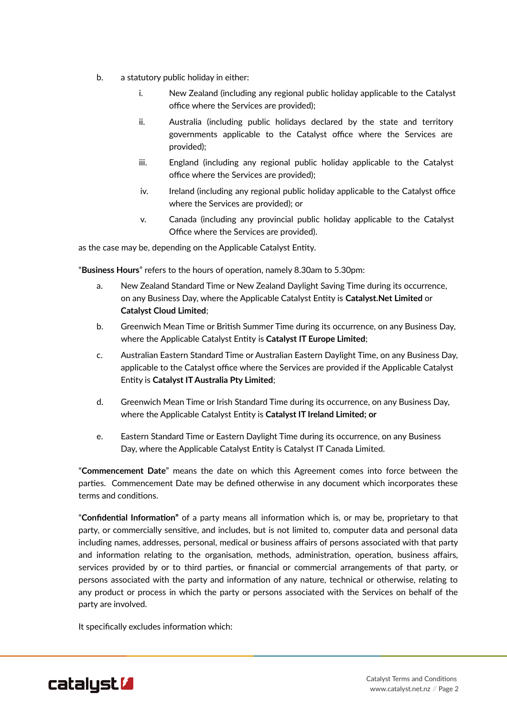- b. a statutory public holiday in either:
	- i. New Zealand (including any regional public holiday applicable to the Catalyst office where the Services are provided);
	- ii. Australia (including public holidays declared by the state and territory governments applicable to the Catalyst office where the Services are provided);
	- iii. England (including any regional public holiday applicable to the Catalyst office where the Services are provided);
	- iv. Ireland (including any regional public holiday applicable to the Catalyst office where the Services are provided); or
	- v. Canada (including any provincial public holiday applicable to the Catalyst Office where the Services are provided).

as the case may be, depending on the Applicable Catalyst Entity.

"**Business Hours**" refers to the hours of operation, namely 8.30am to 5.30pm:

- a. New Zealand Standard Time or New Zealand Daylight Saving Time during its occurrence, on any Business Day, where the Applicable Catalyst Entity is **Catalyst.Net Limited** or **Catalyst Cloud Limited**;
- b. Greenwich Mean Time or British Summer Time during its occurrence, on any Business Day, where the Applicable Catalyst Entity is **Catalyst IT Europe Limited**;
- c. Australian Eastern Standard Time or Australian Eastern Daylight Time, on any Business Day, applicable to the Catalyst office where the Services are provided if the Applicable Catalyst Entity is **Catalyst IT Australia Pty Limited**;
- d. Greenwich Mean Time or Irish Standard Time during its occurrence, on any Business Day, where the Applicable Catalyst Entity is **Catalyst IT Ireland Limited; or**
- e. Eastern Standard Time or Eastern Daylight Time during its occurrence, on any Business Day, where the Applicable Catalyst Entity is Catalyst IT Canada Limited.

"**Commencement Date**" means the date on which this Agreement comes into force between the parties. Commencement Date may be defined otherwise in any document which incorporates these terms and conditions.

"**Confidential Information"** of a party means all information which is, or may be, proprietary to that party, or commercially sensitive, and includes, but is not limited to, computer data and personal data including names, addresses, personal, medical or business affairs of persons associated with that party and information relating to the organisation, methods, administration, operation, business affairs, services provided by or to third parties, or financial or commercial arrangements of that party, or persons associated with the party and information of any nature, technical or otherwise, relating to any product or process in which the party or persons associated with the Services on behalf of the party are involved.

It specifically excludes information which:

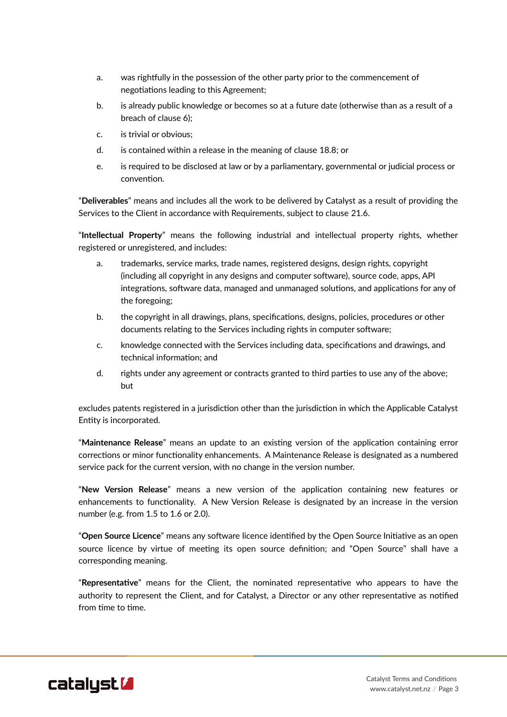- a. was rightfully in the possession of the other party prior to the commencement of negotiations leading to this Agreement;
- b. is already public knowledge or becomes so at a future date (otherwise than as a result of a breach of clause [6\)](#page-6-0);
- c. is trivial or obvious;
- d. is contained within a release in the meaning of clause [18.8](#page-14-0); or
- e. is required to be disclosed at law or by a parliamentary, governmental or judicial process or convention.

"**Deliverables**" means and includes all the work to be delivered by Catalyst as a result of providing the Services to the Client in accordance with Requirements, subject to clause [21.6](#page-15-0).

"**Intellectual Property**" means the following industrial and intellectual property rights, whether registered or unregistered, and includes:

- a. trademarks, service marks, trade names, registered designs, design rights, copyright (including all copyright in any designs and computer software), source code, apps, API integrations, software data, managed and unmanaged solutions, and applications for any of the foregoing;
- b. the copyright in all drawings, plans, specifications, designs, policies, procedures or other documents relating to the Services including rights in computer software;
- c. knowledge connected with the Services including data, specifications and drawings, and technical information; and
- d. rights under any agreement or contracts granted to third parties to use any of the above; but

excludes patents registered in a jurisdiction other than the jurisdiction in which the Applicable Catalyst Entity is incorporated.

"**Maintenance Release**" means an update to an existing version of the application containing error corrections or minor functionality enhancements. A Maintenance Release is designated as a numbered service pack for the current version, with no change in the version number.

"**New Version Release**" means a new version of the application containing new features or enhancements to functionality. A New Version Release is designated by an increase in the version number (e.g. from 1.5 to 1.6 or 2.0).

"**Open Source Licence**" means any software licence identified by the Open Source Initiative as an open source licence by virtue of meeting its open source definition; and "Open Source" shall have a corresponding meaning.

"**Representative**" means for the Client, the nominated representative who appears to have the authority to represent the Client, and for Catalyst, a Director or any other representative as notified from time to time.

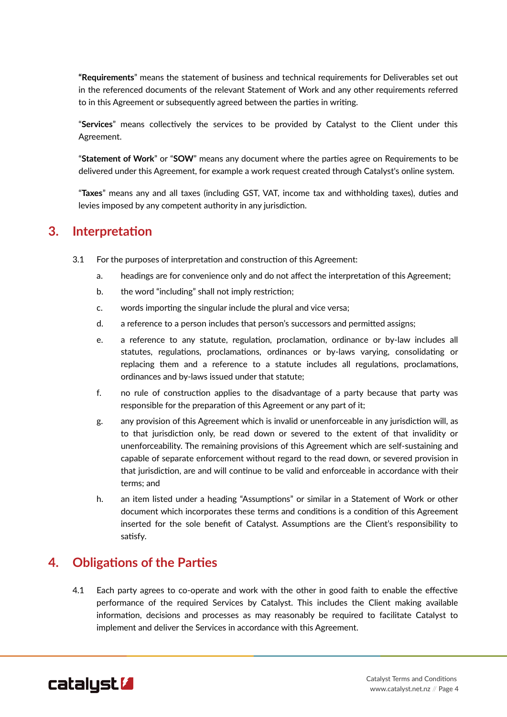**"Requirements**" means the statement of business and technical requirements for Deliverables set out in the referenced documents of the relevant Statement of Work and any other requirements referred to in this Agreement or subsequently agreed between the parties in writing.

"**Services**" means collectively the services to be provided by Catalyst to the Client under this Agreement.

"**Statement of Work**" or "**SOW**" means any document where the parties agree on Requirements to be delivered under this Agreement, for example a work request created through Catalyst's online system.

"**Taxes**" means any and all taxes (including GST, VAT, income tax and withholding taxes), duties and levies imposed by any competent authority in any jurisdiction.

#### <span id="page-5-0"></span>**3. Interpretation**

- 3.1 For the purposes of interpretation and construction of this Agreement:
	- a. headings are for convenience only and do not affect the interpretation of this Agreement;
	- b. the word "including" shall not imply restriction;
	- c. words importing the singular include the plural and vice versa;
	- d. a reference to a person includes that person's successors and permitted assigns;
	- e. a reference to any statute, regulation, proclamation, ordinance or by-law includes all statutes, regulations, proclamations, ordinances or by-laws varying, consolidating or replacing them and a reference to a statute includes all regulations, proclamations, ordinances and by-laws issued under that statute;
	- f. no rule of construction applies to the disadvantage of a party because that party was responsible for the preparation of this Agreement or any part of it;
	- g. any provision of this Agreement which is invalid or unenforceable in any jurisdiction will, as to that jurisdiction only, be read down or severed to the extent of that invalidity or unenforceability. The remaining provisions of this Agreement which are self-sustaining and capable of separate enforcement without regard to the read down, or severed provision in that jurisdiction, are and will continue to be valid and enforceable in accordance with their terms; and
	- h. an item listed under a heading "Assumptions" or similar in a Statement of Work or other document which incorporates these terms and conditions is a condition of this Agreement inserted for the sole benefit of Catalyst. Assumptions are the Client's responsibility to satisfy.

#### **4. Obligations of the Parties**

4.1 Each party agrees to co-operate and work with the other in good faith to enable the effective performance of the required Services by Catalyst. This includes the Client making available information, decisions and processes as may reasonably be required to facilitate Catalyst to implement and deliver the Services in accordance with this Agreement.

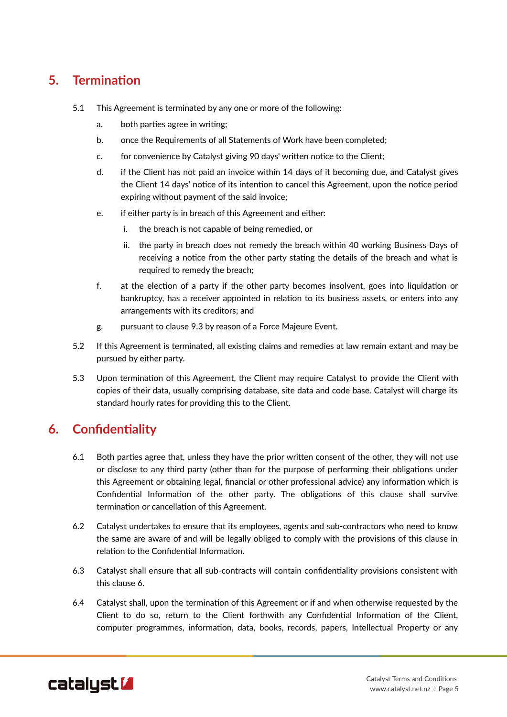# **5. Termination**

- 5.1 This Agreement is terminated by any one or more of the following:
	- a. both parties agree in writing;
	- b. once the Requirements of all Statements of Work have been completed;
	- c. for convenience by Catalyst giving 90 days' written notice to the Client;
	- d. if the Client has not paid an invoice within 14 days of it becoming due, and Catalyst gives the Client 14 days' notice of its intention to cancel this Agreement, upon the notice period expiring without payment of the said invoice;
	- e. if either party is in breach of this Agreement and either:
		- i. the breach is not capable of being remedied, or
		- ii. the party in breach does not remedy the breach within 40 working Business Days of receiving a notice from the other party stating the details of the breach and what is required to remedy the breach;
	- f. at the election of a party if the other party becomes insolvent, goes into liquidation or bankruptcy, has a receiver appointed in relation to its business assets, or enters into any arrangements with its creditors; and
	- g. pursuant to clause [9.3](#page-9-0) by reason of a Force Majeure Event.
- <span id="page-6-2"></span>5.2 If this Agreement is terminated, all existing claims and remedies at law remain extant and may be pursued by either party.
- <span id="page-6-1"></span>5.3 Upon termination of this Agreement, the Client may require Catalyst to provide the Client with copies of their data, usually comprising database, site data and code base. Catalyst will charge its standard hourly rates for providing this to the Client.

# <span id="page-6-0"></span>**6. Confidentiality**

- 6.1 Both parties agree that, unless they have the prior written consent of the other, they will not use or disclose to any third party (other than for the purpose of performing their obligations under this Agreement or obtaining legal, financial or other professional advice) any information which is Confidential Information of the other party. The obligations of this clause shall survive termination or cancellation of this Agreement.
- 6.2 Catalyst undertakes to ensure that its employees, agents and sub-contractors who need to know the same are aware of and will be legally obliged to comply with the provisions of this clause in relation to the Confidential Information.
- 6.3 Catalyst shall ensure that all sub-contracts will contain confidentiality provisions consistent with this clause [6](#page-6-0).
- 6.4 Catalyst shall, upon the termination of this Agreement or if and when otherwise requested by the Client to do so, return to the Client forthwith any Confidential Information of the Client, computer programmes, information, data, books, records, papers, Intellectual Property or any

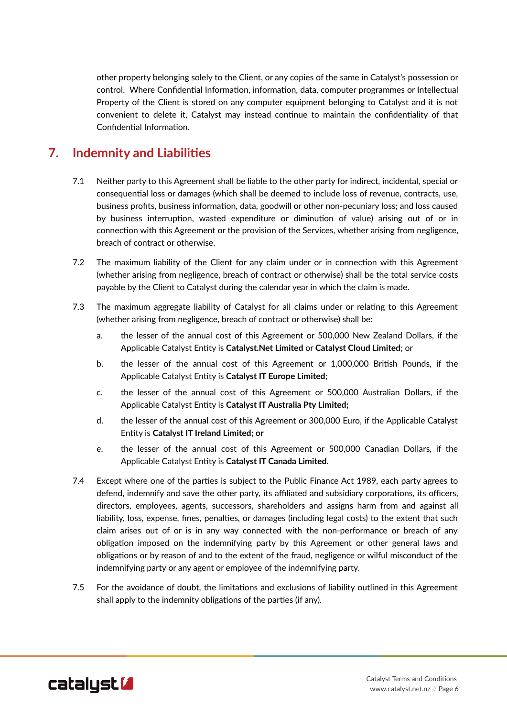other property belonging solely to the Client, or any copies of the same in Catalyst's possession or control. Where Confidential Information, information, data, computer programmes or Intellectual Property of the Client is stored on any computer equipment belonging to Catalyst and it is not convenient to delete it, Catalyst may instead continue to maintain the confidentiality of that Confidential Information.

## <span id="page-7-0"></span>**7. Indemnity and Liabilities**

- 7.1 Neither party to this Agreement shall be liable to the other party for indirect, incidental, special or consequential loss or damages (which shall be deemed to include loss of revenue, contracts, use, business profits, business information, data, goodwill or other non-pecuniary loss; and loss caused by business interruption, wasted expenditure or diminution of value) arising out of or in connection with this Agreement or the provision of the Services, whether arising from negligence, breach of contract or otherwise.
- 7.2 The maximum liability of the Client for any claim under or in connection with this Agreement (whether arising from negligence, breach of contract or otherwise) shall be the total service costs payable by the Client to Catalyst during the calendar year in which the claim is made.
- 7.3 The maximum aggregate liability of Catalyst for all claims under or relating to this Agreement (whether arising from negligence, breach of contract or otherwise) shall be:
	- a. the lesser of the annual cost of this Agreement or 500,000 New Zealand Dollars, if the Applicable Catalyst Entity is **Catalyst.Net Limited** or **Catalyst Cloud Limited**; or
	- b. the lesser of the annual cost of this Agreement or 1,000,000 British Pounds, if the Applicable Catalyst Entity is **Catalyst IT Europe Limited**;
	- c. the lesser of the annual cost of this Agreement or 500,000 Australian Dollars, if the Applicable Catalyst Entity is **Catalyst IT Australia Pty Limited;**
	- d. the lesser of the annual cost of this Agreement or 300,000 Euro, if the Applicable Catalyst Entity is **Catalyst IT Ireland Limited; or**
	- e. the lesser of the annual cost of this Agreement or 500,000 Canadian Dollars, if the Applicable Catalyst Entity is **Catalyst IT Canada Limited.**
- 7.4 Except where one of the parties is subject to the Public Finance Act 1989, each party agrees to defend, indemnify and save the other party, its affiliated and subsidiary corporations, its officers, directors, employees, agents, successors, shareholders and assigns harm from and against all liability, loss, expense, fines, penalties, or damages (including legal costs) to the extent that such claim arises out of or is in any way connected with the non-performance or breach of any obligation imposed on the indemnifying party by this Agreement or other general laws and obligations or by reason of and to the extent of the fraud, negligence or wilful misconduct of the indemnifying party or any agent or employee of the indemnifying party.
- 7.5 For the avoidance of doubt, the limitations and exclusions of liability outlined in this Agreement shall apply to the indemnity obligations of the parties (if any).

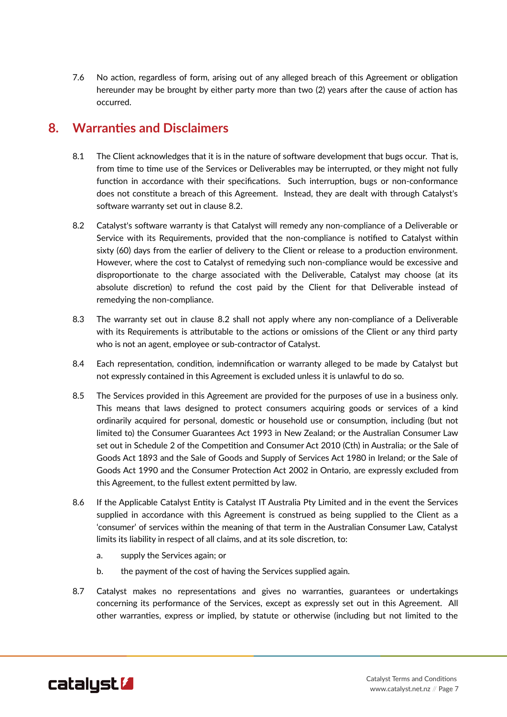7.6 No action, regardless of form, arising out of any alleged breach of this Agreement or obligation hereunder may be brought by either party more than two (2) years after the cause of action has occurred.

#### <span id="page-8-1"></span>**8. Warranties and Disclaimers**

- 8.1 The Client acknowledges that it is in the nature of software development that bugs occur. That is, from time to time use of the Services or Deliverables may be interrupted, or they might not fully function in accordance with their specifications. Such interruption, bugs or non-conformance does not constitute a breach of this Agreement. Instead, they are dealt with through Catalyst's software warranty set out in clause [8.2.](#page-8-0)
- <span id="page-8-0"></span>8.2 Catalyst's software warranty is that Catalyst will remedy any non-compliance of a Deliverable or Service with its Requirements, provided that the non-compliance is notified to Catalyst within sixty (60) days from the earlier of delivery to the Client or release to a production environment. However, where the cost to Catalyst of remedying such non-compliance would be excessive and disproportionate to the charge associated with the Deliverable, Catalyst may choose (at its absolute discretion) to refund the cost paid by the Client for that Deliverable instead of remedying the non-compliance.
- 8.3 The warranty set out in clause [8.2](#page-8-0) shall not apply where any non-compliance of a Deliverable with its Requirements is attributable to the actions or omissions of the Client or any third party who is not an agent, employee or sub-contractor of Catalyst.
- 8.4 Each representation, condition, indemnification or warranty alleged to be made by Catalyst but not expressly contained in this Agreement is excluded unless it is unlawful to do so.
- 8.5 The Services provided in this Agreement are provided for the purposes of use in a business only. This means that laws designed to protect consumers acquiring goods or services of a kind ordinarily acquired for personal, domestic or household use or consumption, including (but not limited to) the Consumer Guarantees Act 1993 in New Zealand; or the Australian Consumer Law set out in Schedule 2 of the Competition and Consumer Act 2010 (Cth) in Australia; or the Sale of Goods Act 1893 and the Sale of Goods and Supply of Services Act 1980 in Ireland; or the Sale of Goods Act 1990 and the Consumer Protection Act 2002 in Ontario, are expressly excluded from this Agreement, to the fullest extent permitted by law.
- 8.6 If the Applicable Catalyst Entity is Catalyst IT Australia Pty Limited and in the event the Services supplied in accordance with this Agreement is construed as being supplied to the Client as a 'consumer' of services within the meaning of that term in the Australian Consumer Law, Catalyst limits its liability in respect of all claims, and at its sole discretion, to:
	- a. supply the Services again; or
	- b. the payment of the cost of having the Services supplied again.
- 8.7 Catalyst makes no representations and gives no warranties, guarantees or undertakings concerning its performance of the Services, except as expressly set out in this Agreement. All other warranties, express or implied, by statute or otherwise (including but not limited to the

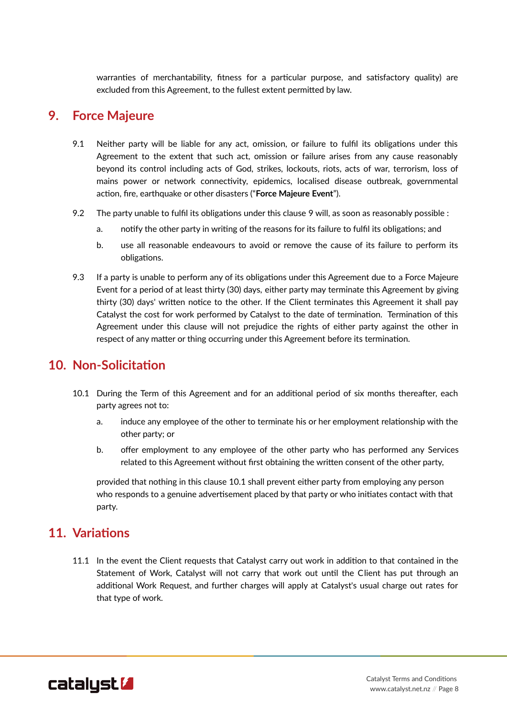warranties of merchantability, fitness for a particular purpose, and satisfactory quality) are excluded from this Agreement, to the fullest extent permitted by law.

## <span id="page-9-2"></span>**9. Force Majeure**

- 9.1 Neither party will be liable for any act, omission, or failure to fulfil its obligations under this Agreement to the extent that such act, omission or failure arises from any cause reasonably beyond its control including acts of God, strikes, lockouts, riots, acts of war, terrorism, loss of mains power or network connectivity, epidemics, localised disease outbreak, governmental action, fire, earthquake or other disasters ("**Force Majeure Event**").
- 9.2 The party unable to fulfil its obligations under this clause [9](#page-9-2) will, as soon as reasonably possible :
	- a. notify the other party in writing of the reasons for its failure to fulfil its obligations; and
	- b. use all reasonable endeavours to avoid or remove the cause of its failure to perform its obligations.
- <span id="page-9-0"></span>9.3 If a party is unable to perform any of its obligations under this Agreement due to a Force Majeure Event for a period of at least thirty (30) days, either party may terminate this Agreement by giving thirty (30) days' written notice to the other. If the Client terminates this Agreement it shall pay Catalyst the cost for work performed by Catalyst to the date of termination. Termination of this Agreement under this clause will not prejudice the rights of either party against the other in respect of any matter or thing occurring under this Agreement before its termination.

## <span id="page-9-3"></span>**10. Non-Solicitation**

- <span id="page-9-1"></span>10.1 During the Term of this Agreement and for an additional period of six months thereafter, each party agrees not to:
	- a. induce any employee of the other to terminate his or her employment relationship with the other party; or
	- b. offer employment to any employee of the other party who has performed any Services related to this Agreement without first obtaining the written consent of the other party,

provided that nothing in this clause [10.1](#page-9-1) shall prevent either party from employing any person who responds to a genuine advertisement placed by that party or who initiates contact with that party.

#### **11. Variations**

11.1 In the event the Client requests that Catalyst carry out work in addition to that contained in the Statement of Work, Catalyst will not carry that work out until the Client has put through an additional Work Request, and further charges will apply at Catalyst's usual charge out rates for that type of work.

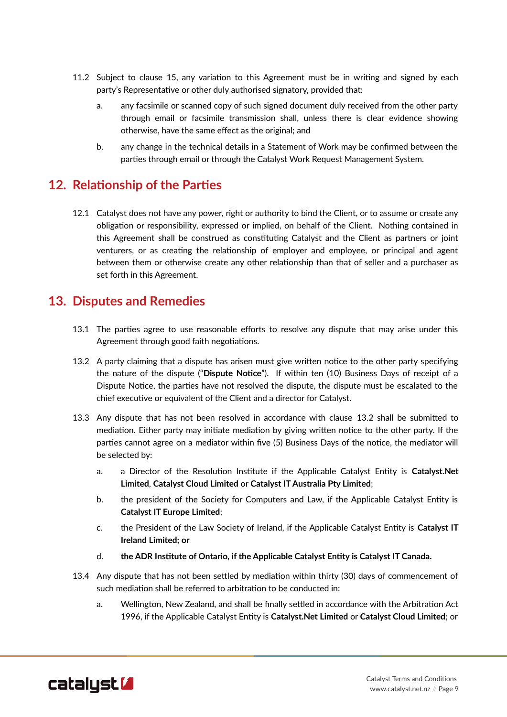- 11.2 Subject to clause [15](#page-11-0), any variation to this Agreement must be in writing and signed by each party's Representative or other duly authorised signatory, provided that:
	- a. any facsimile or scanned copy of such signed document duly received from the other party through email or facsimile transmission shall, unless there is clear evidence showing otherwise, have the same effect as the original; and
	- b. any change in the technical details in a Statement of Work may be confirmed between the parties through email or through the Catalyst Work Request Management System.

## **12. Relationship of the Parties**

12.1 Catalyst does not have any power, right or authority to bind the Client, or to assume or create any obligation or responsibility, expressed or implied, on behalf of the Client. Nothing contained in this Agreement shall be construed as constituting Catalyst and the Client as partners or joint venturers, or as creating the relationship of employer and employee, or principal and agent between them or otherwise create any other relationship than that of seller and a purchaser as set forth in this Agreement.

#### <span id="page-10-2"></span>**13. Disputes and Remedies**

- <span id="page-10-3"></span>13.1 The parties agree to use reasonable efforts to resolve any dispute that may arise under this Agreement through good faith negotiations.
- <span id="page-10-0"></span>13.2 A party claiming that a dispute has arisen must give written notice to the other party specifying the nature of the dispute ("**Dispute Notice**"). If within ten (10) Business Days of receipt of a Dispute Notice, the parties have not resolved the dispute, the dispute must be escalated to the chief executive or equivalent of the Client and a director for Catalyst.
- 13.3 Any dispute that has not been resolved in accordance with clause [13.2](#page-10-0) shall be submitted to mediation. Either party may initiate mediation by giving written notice to the other party. If the parties cannot agree on a mediator within five (5) Business Days of the notice, the mediator will be selected by:
	- a. a Director of the Resolution Institute if the Applicable Catalyst Entity is **Catalyst.Net Limited**, **Catalyst Cloud Limited** or **Catalyst IT Australia Pty Limited**;
	- b. the president of the Society for Computers and Law, if the Applicable Catalyst Entity is **Catalyst IT Europe Limited**;
	- c. the President of the Law Society of Ireland, if the Applicable Catalyst Entity is **Catalyst IT Ireland Limited; or**
	- d. **the ADR Institute of Ontario, if the Applicable Catalyst Entity is Catalyst IT Canada.**
- <span id="page-10-1"></span>13.4 Any dispute that has not been settled by mediation within thirty (30) days of commencement of such mediation shall be referred to arbitration to be conducted in:
	- a. Wellington, New Zealand, and shall be finally settled in accordance with the Arbitration Act 1996, if the Applicable Catalyst Entity is **Catalyst.Net Limited** or **Catalyst Cloud Limited**; or

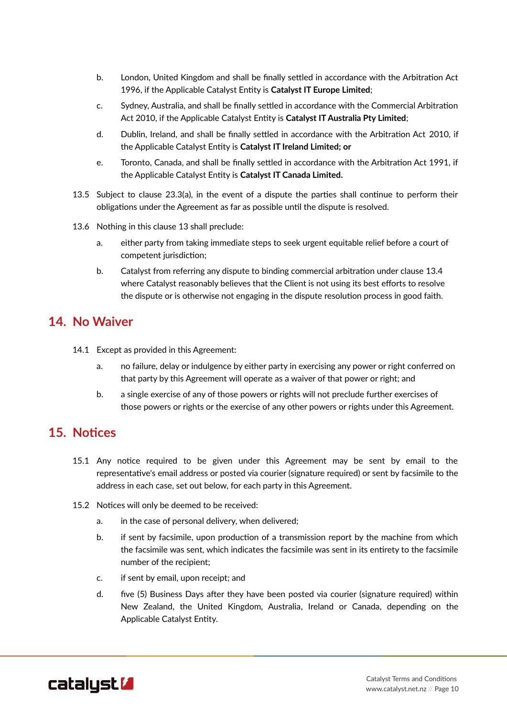- b. London, United Kingdom and shall be finally settled in accordance with the Arbitration Act 1996, if the Applicable Catalyst Entity is **Catalyst IT Europe Limited**;
- c. Sydney, Australia, and shall be finally settled in accordance with the Commercial Arbitration Act 2010, if the Applicable Catalyst Entity is **Catalyst IT Australia Pty Limited**;
- d. Dublin, Ireland, and shall be finally settled in accordance with the Arbitration Act 2010, if the Applicable Catalyst Entity is **Catalyst IT Ireland Limited; or**
- e. Toronto, Canada, and shall be finally settled in accordance with the Arbitration Act 1991, if the Applicable Catalyst Entity is **Catalyst IT Canada Limited.**
- 13.5 Subject to clause [23.3](#page-16-1)([a\)](#page-16-0), in the event of a dispute the parties shall continue to perform their obligations under the Agreement as far as possible until the dispute is resolved.
- 13.6 Nothing in this clause [13](#page-10-2) shall preclude:
	- a. either party from taking immediate steps to seek urgent equitable relief before a court of competent jurisdiction;
	- b. Catalyst from referring any dispute to binding commercial arbitration under clause [13.4](#page-10-1) where Catalyst reasonably believes that the Client is not using its best efforts to resolve the dispute or is otherwise not engaging in the dispute resolution process in good faith.

#### **14. No Waiver**

- 14.1 Except as provided in this Agreement:
	- a. no failure, delay or indulgence by either party in exercising any power or right conferred on that party by this Agreement will operate as a waiver of that power or right; and
	- b. a single exercise of any of those powers or rights will not preclude further exercises of those powers or rights or the exercise of any other powers or rights under this Agreement.

#### <span id="page-11-0"></span>**15. Notices**

- 15.1 Any notice required to be given under this Agreement may be sent by email to the representative's email address or posted via courier (signature required) or sent by facsimile to the address in each case, set out below, for each party in this Agreement.
- 15.2 Notices will only be deemed to be received:
	- a. in the case of personal delivery, when delivered;
	- b. if sent by facsimile, upon production of a transmission report by the machine from which the facsimile was sent, which indicates the facsimile was sent in its entirety to the facsimile number of the recipient;
	- c. if sent by email, upon receipt; and
	- d. five (5) Business Days after they have been posted via courier (signature required) within New Zealand, the United Kingdom, Australia, Ireland or Canada, depending on the Applicable Catalyst Entity.

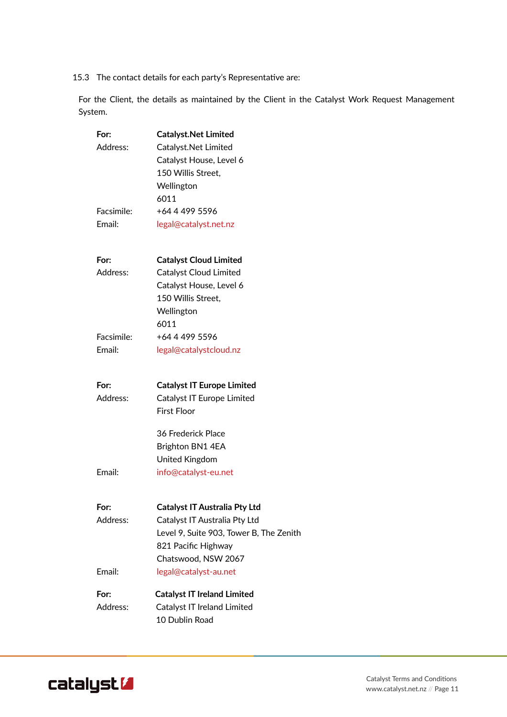15.3 The contact details for each party's Representative are:

For the Client, the details as maintained by the Client in the Catalyst Work Request Management System.

| For:       | <b>Catalyst.Net Limited</b>             |
|------------|-----------------------------------------|
| Address:   | Catalyst.Net Limited                    |
|            | Catalyst House, Level 6                 |
|            | 150 Willis Street,                      |
|            | Wellington                              |
|            | 6011                                    |
| Facsimile: | +64 4 499 5596                          |
| Email:     | legal@catalyst.net.nz                   |
| For:       | <b>Catalyst Cloud Limited</b>           |
| Address:   | Catalyst Cloud Limited                  |
|            | Catalyst House, Level 6                 |
|            | 150 Willis Street,                      |
|            | Wellington                              |
|            | 6011                                    |
| Facsimile: | +64 4 499 5596                          |
| Email:     | legal@catalystcloud.nz                  |
| For:       | <b>Catalyst IT Europe Limited</b>       |
| Address:   | Catalyst IT Europe Limited              |
|            | <b>First Floor</b>                      |
|            | 36 Frederick Place                      |
|            | Brighton BN1 4EA                        |
|            | United Kingdom                          |
| Email:     | info@catalyst-eu.net                    |
| For:       | <b>Catalyst IT Australia Pty Ltd</b>    |
| Address:   | Catalyst IT Australia Pty Ltd           |
|            | Level 9, Suite 903, Tower B, The Zenith |
|            | 821 Pacific Highway                     |
|            | Chatswood, NSW 2067                     |
| Email:     | legal@catalyst-au.net                   |
| For:       | <b>Catalyst IT Ireland Limited</b>      |
| Address:   | Catalyst IT Ireland Limited             |
|            | 10 Dublin Road                          |
|            |                                         |

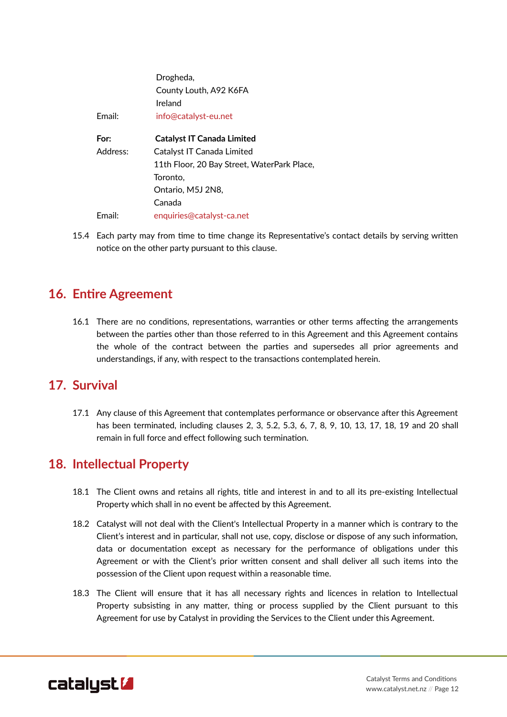|          | Drogheda,                                   |
|----------|---------------------------------------------|
|          | County Louth, A92 K6FA                      |
|          | Ireland                                     |
| Email:   | info@catalyst-eu.net                        |
| For:     |                                             |
|          | <b>Catalyst IT Canada Limited</b>           |
| Address: | Catalyst IT Canada Limited                  |
|          | 11th Floor, 20 Bay Street, WaterPark Place, |
|          | Toronto.                                    |
|          | Ontario, M5J 2N8,                           |
|          | Canada                                      |
| Email:   | enquiries@catalyst-ca.net                   |

15.4 Each party may from time to time change its Representative's contact details by serving written notice on the other party pursuant to this clause.

## **16. Entire Agreement**

16.1 There are no conditions, representations, warranties or other terms affecting the arrangements between the parties other than those referred to in this Agreement and this Agreement contains the whole of the contract between the parties and supersedes all prior agreements and understandings, if any, with respect to the transactions contemplated herein.

#### <span id="page-13-1"></span>**17. Survival**

17.1 Any clause of this Agreement that contemplates performance or observance after this Agreement has been terminated, including clauses [2](#page-2-0), [3,](#page-5-0) [5.2,](#page-6-2) [5.3](#page-6-1), [6](#page-6-0), [7,](#page-7-0) [8](#page-8-1), [9](#page-9-2), [10,](#page-9-3) [13](#page-10-3), [17,](#page-13-1) [18](#page-13-0), [19](#page-14-2) and [20](#page-14-1) shall remain in full force and effect following such termination.

#### <span id="page-13-0"></span>**18. Intellectual Property**

- 18.1 The Client owns and retains all rights, title and interest in and to all its pre-existing Intellectual Property which shall in no event be affected by this Agreement.
- 18.2 Catalyst will not deal with the Client's Intellectual Property in a manner which is contrary to the Client's interest and in particular, shall not use, copy, disclose or dispose of any such information, data or documentation except as necessary for the performance of obligations under this Agreement or with the Client's prior written consent and shall deliver all such items into the possession of the Client upon request within a reasonable time.
- 18.3 The Client will ensure that it has all necessary rights and licences in relation to Intellectual Property subsisting in any matter, thing or process supplied by the Client pursuant to this Agreement for use by Catalyst in providing the Services to the Client under this Agreement.

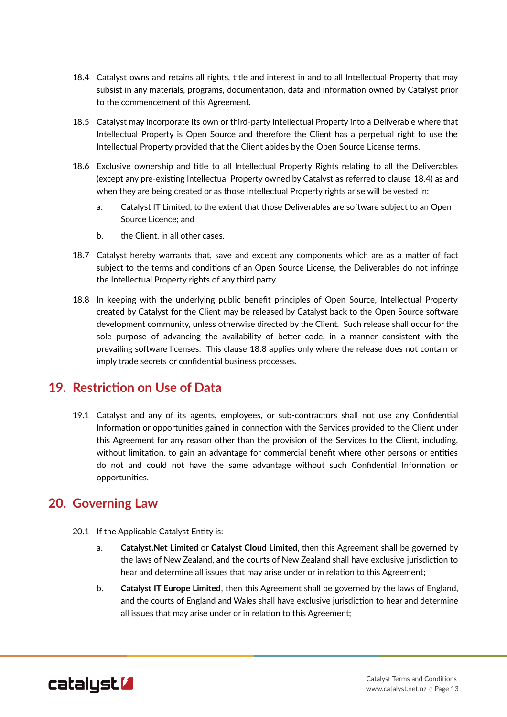- <span id="page-14-3"></span>18.4 Catalyst owns and retains all rights, title and interest in and to all Intellectual Property that may subsist in any materials, programs, documentation, data and information owned by Catalyst prior to the commencement of this Agreement.
- 18.5 Catalyst may incorporate its own or third-party Intellectual Property into a Deliverable where that Intellectual Property is Open Source and therefore the Client has a perpetual right to use the Intellectual Property provided that the Client abides by the Open Source License terms.
- 18.6 Exclusive ownership and title to all Intellectual Property Rights relating to all the Deliverables (except any pre-existing Intellectual Property owned by Catalyst as referred to clause [18.4\)](#page-14-3) as and when they are being created or as those Intellectual Property rights arise will be vested in:
	- a. Catalyst IT Limited, to the extent that those Deliverables are software subject to an Open Source Licence; and
	- b. the Client, in all other cases.
- 18.7 Catalyst hereby warrants that, save and except any components which are as a matter of fact subject to the terms and conditions of an Open Source License, the Deliverables do not infringe the Intellectual Property rights of any third party.
- <span id="page-14-0"></span>18.8 In keeping with the underlying public benefit principles of Open Source, Intellectual Property created by Catalyst for the Client may be released by Catalyst back to the Open Source software development community, unless otherwise directed by the Client. Such release shall occur for the sole purpose of advancing the availability of better code, in a manner consistent with the prevailing software licenses. This clause [18.8](#page-14-0) applies only where the release does not contain or imply trade secrets or confidential business processes.

# <span id="page-14-2"></span>**19. Restriction on Use of Data**

19.1 Catalyst and any of its agents, employees, or sub-contractors shall not use any Confidential Information or opportunities gained in connection with the Services provided to the Client under this Agreement for any reason other than the provision of the Services to the Client, including, without limitation, to gain an advantage for commercial benefit where other persons or entities do not and could not have the same advantage without such Confidential Information or opportunities.

# **20. Governing Law**

- <span id="page-14-4"></span><span id="page-14-1"></span>20.1 If the Applicable Catalyst Entity is:
	- a. **Catalyst.Net Limited** or **Catalyst Cloud Limited**, then this Agreement shall be governed by the laws of New Zealand, and the courts of New Zealand shall have exclusive jurisdiction to hear and determine all issues that may arise under or in relation to this Agreement;
	- b. **Catalyst IT Europe Limited**, then this Agreement shall be governed by the laws of England, and the courts of England and Wales shall have exclusive jurisdiction to hear and determine all issues that may arise under or in relation to this Agreement;

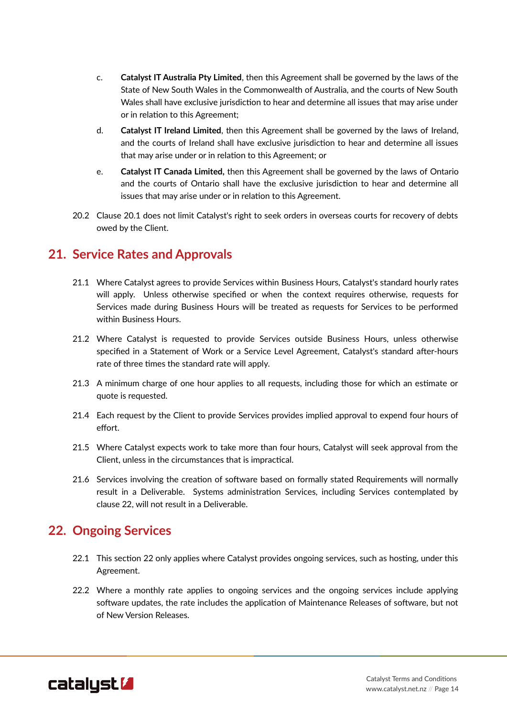- c. **Catalyst IT Australia Pty Limited**, then this Agreement shall be governed by the laws of the State of New South Wales in the Commonwealth of Australia, and the courts of New South Wales shall have exclusive jurisdiction to hear and determine all issues that may arise under or in relation to this Agreement;
- d. **Catalyst IT Ireland Limited**, then this Agreement shall be governed by the laws of Ireland, and the courts of Ireland shall have exclusive jurisdiction to hear and determine all issues that may arise under or in relation to this Agreement; or
- e. **Catalyst IT Canada Limited,** then this Agreement shall be governed by the laws of Ontario and the courts of Ontario shall have the exclusive jurisdiction to hear and determine all issues that may arise under or in relation to this Agreement.
- 20.2 Clause [20.1](#page-14-4) does not limit Catalyst's right to seek orders in overseas courts for recovery of debts owed by the Client.

#### <span id="page-15-2"></span>**21. Service Rates and Approvals**

- 21.1 Where Catalyst agrees to provide Services within Business Hours, Catalyst's standard hourly rates will apply. Unless otherwise specified or when the context requires otherwise, requests for Services made during Business Hours will be treated as requests for Services to be performed within Business Hours.
- 21.2 Where Catalyst is requested to provide Services outside Business Hours, unless otherwise specified in a Statement of Work or a Service Level Agreement, Catalyst's standard after-hours rate of three times the standard rate will apply.
- 21.3 A minimum charge of one hour applies to all requests, including those for which an estimate or quote is requested.
- 21.4 Each request by the Client to provide Services provides implied approval to expend four hours of effort.
- 21.5 Where Catalyst expects work to take more than four hours, Catalyst will seek approval from the Client, unless in the circumstances that is impractical.
- <span id="page-15-0"></span>21.6 Services involving the creation of software based on formally stated Requirements will normally result in a Deliverable. Systems administration Services, including Services contemplated by clause [22,](#page-15-1) will not result in a Deliverable.

# <span id="page-15-1"></span>**22. Ongoing Services**

- 22.1 This section [22](#page-15-1) only applies where Catalyst provides ongoing services, such as hosting, under this Agreement.
- 22.2 Where a monthly rate applies to ongoing services and the ongoing services include applying software updates, the rate includes the application of Maintenance Releases of software, but not of New Version Releases.

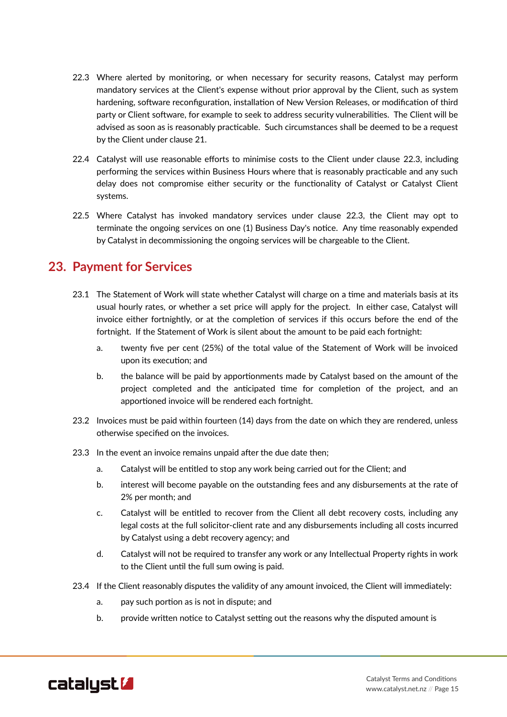- <span id="page-16-2"></span>22.3 Where alerted by monitoring, or when necessary for security reasons, Catalyst may perform mandatory services at the Client's expense without prior approval by the Client, such as system hardening, software reconfiguration, installation of New Version Releases, or modification of third party or Client software, for example to seek to address security vulnerabilities. The Client will be advised as soon as is reasonably practicable. Such circumstances shall be deemed to be a request by the Client under clause [21.](#page-15-2)
- 22.4 Catalyst will use reasonable efforts to minimise costs to the Client under clause [22.3,](#page-16-2) including performing the services within Business Hours where that is reasonably practicable and any such delay does not compromise either security or the functionality of Catalyst or Catalyst Client systems.
- 22.5 Where Catalyst has invoked mandatory services under clause [22.3](#page-16-2), the Client may opt to terminate the ongoing services on one (1) Business Day's notice. Any time reasonably expended by Catalyst in decommissioning the ongoing services will be chargeable to the Client.

# **23. Payment for Services**

- 23.1 The Statement of Work will state whether Catalyst will charge on a time and materials basis at its usual hourly rates, or whether a set price will apply for the project. In either case, Catalyst will invoice either fortnightly, or at the completion of services if this occurs before the end of the fortnight. If the Statement of Work is silent about the amount to be paid each fortnight:
	- a. twenty five per cent (25%) of the total value of the Statement of Work will be invoiced upon its execution; and
	- b. the balance will be paid by apportionments made by Catalyst based on the amount of the project completed and the anticipated time for completion of the project, and an apportioned invoice will be rendered each fortnight.
- 23.2 Invoices must be paid within fourteen (14) days from the date on which they are rendered, unless otherwise specified on the invoices.
- <span id="page-16-1"></span><span id="page-16-0"></span>23.3 In the event an invoice remains unpaid after the due date then;
	- a. Catalyst will be entitled to stop any work being carried out for the Client; and
	- b. interest will become payable on the outstanding fees and any disbursements at the rate of 2% per month; and
	- c. Catalyst will be entitled to recover from the Client all debt recovery costs, including any legal costs at the full solicitor-client rate and any disbursements including all costs incurred by Catalyst using a debt recovery agency; and
	- d. Catalyst will not be required to transfer any work or any Intellectual Property rights in work to the Client until the full sum owing is paid.
- <span id="page-16-3"></span>23.4 If the Client reasonably disputes the validity of any amount invoiced, the Client will immediately:
	- a. pay such portion as is not in dispute; and
	- b. provide written notice to Catalyst setting out the reasons why the disputed amount is